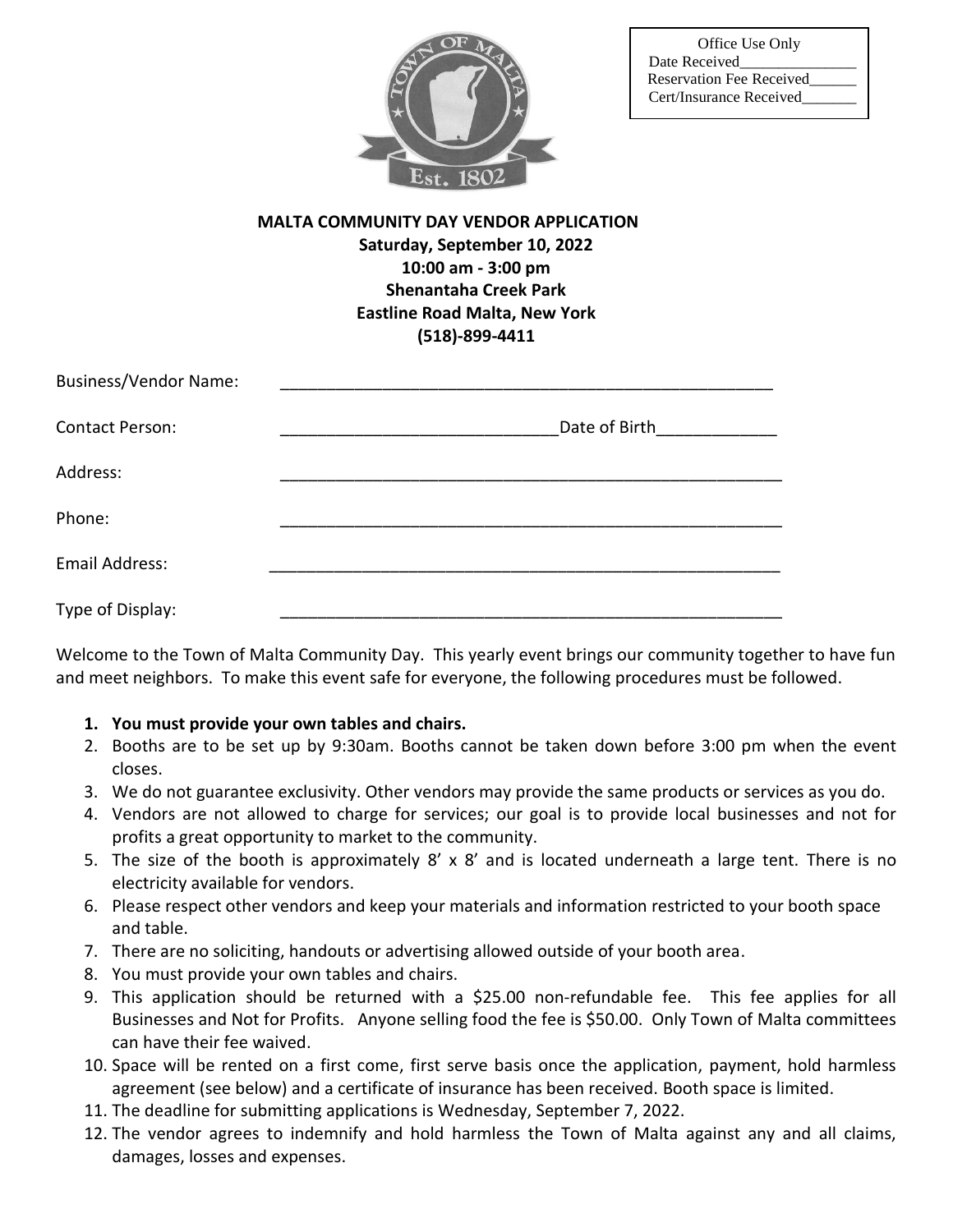

## **MALTA COMMUNITY DAY VENDOR APPLICATION Saturday, September 10, 2022 10:00 am - 3:00 pm Shenantaha Creek Park Eastline Road Malta, New York (518)-899-4411**

| <b>Business/Vendor Name:</b> |               |
|------------------------------|---------------|
| <b>Contact Person:</b>       | Date of Birth |
| Address:                     |               |
| Phone:                       |               |
| Email Address:               |               |
| Type of Display:             |               |

Welcome to the Town of Malta Community Day. This yearly event brings our community together to have fun and meet neighbors. To make this event safe for everyone, the following procedures must be followed.

## **1. You must provide your own tables and chairs.**

- 2. Booths are to be set up by 9:30am. Booths cannot be taken down before 3:00 pm when the event closes.
- 3. We do not guarantee exclusivity. Other vendors may provide the same products or services as you do.
- 4. Vendors are not allowed to charge for services; our goal is to provide local businesses and not for profits a great opportunity to market to the community.
- 5. The size of the booth is approximately 8' x 8' and is located underneath a large tent. There is no electricity available for vendors.
- 6. Please respect other vendors and keep your materials and information restricted to your booth space and table.
- 7. There are no soliciting, handouts or advertising allowed outside of your booth area.
- 8. You must provide your own tables and chairs.
- 9. This application should be returned with a \$25.00 non-refundable fee. This fee applies for all Businesses and Not for Profits. Anyone selling food the fee is \$50.00. Only Town of Malta committees can have their fee waived.
- 10. Space will be rented on a first come, first serve basis once the application, payment, hold harmless agreement (see below) and a certificate of insurance has been received. Booth space is limited.
- 11. The deadline for submitting applications is Wednesday, September 7, 2022.
- 12. The vendor agrees to indemnify and hold harmless the Town of Malta against any and all claims, damages, losses and expenses.